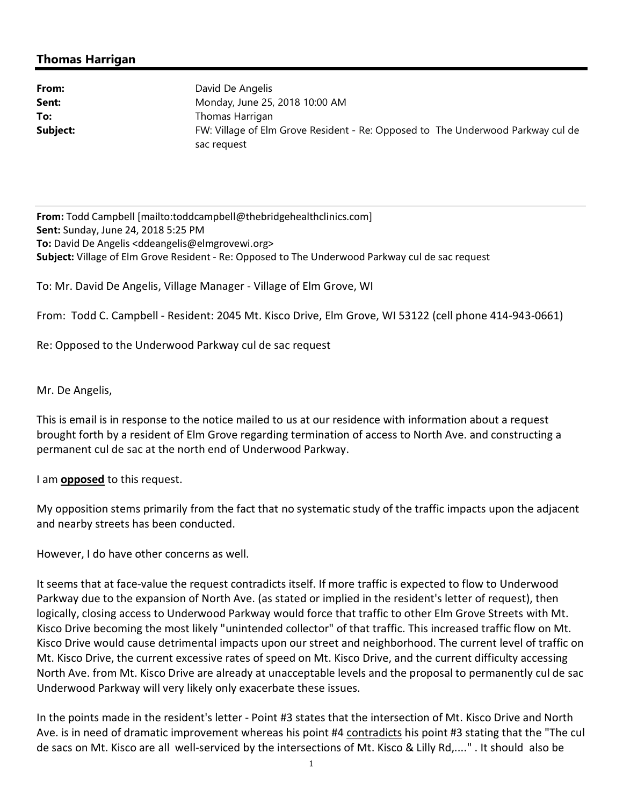## **Thomas Harrigan**

| Monday, June 25, 2018 10:00 AM                                                  |
|---------------------------------------------------------------------------------|
|                                                                                 |
| FW: Village of Elm Grove Resident - Re: Opposed to The Underwood Parkway cul de |
|                                                                                 |

**From:** Todd Campbell [mailto:toddcampbell@thebridgehealthclinics.com] **Sent:** Sunday, June 24, 2018 5:25 PM **To:** David De Angelis <ddeangelis@elmgrovewi.org> **Subject:** Village of Elm Grove Resident - Re: Opposed to The Underwood Parkway cul de sac request

To: Mr. David De Angelis, Village Manager - Village of Elm Grove, WI

From: Todd C. Campbell - Resident: 2045 Mt. Kisco Drive, Elm Grove, WI 53122 (cell phone 414-943-0661)

Re: Opposed to the Underwood Parkway cul de sac request

Mr. De Angelis,

This is email is in response to the notice mailed to us at our residence with information about a request brought forth by a resident of Elm Grove regarding termination of access to North Ave. and constructing a permanent cul de sac at the north end of Underwood Parkway.

I am **opposed** to this request.

My opposition stems primarily from the fact that no systematic study of the traffic impacts upon the adjacent and nearby streets has been conducted.

However, I do have other concerns as well.

It seems that at face-value the request contradicts itself. If more traffic is expected to flow to Underwood Parkway due to the expansion of North Ave. (as stated or implied in the resident's letter of request), then logically, closing access to Underwood Parkway would force that traffic to other Elm Grove Streets with Mt. Kisco Drive becoming the most likely "unintended collector" of that traffic. This increased traffic flow on Mt. Kisco Drive would cause detrimental impacts upon our street and neighborhood. The current level of traffic on Mt. Kisco Drive, the current excessive rates of speed on Mt. Kisco Drive, and the current difficulty accessing North Ave. from Mt. Kisco Drive are already at unacceptable levels and the proposal to permanently cul de sac Underwood Parkway will very likely only exacerbate these issues.

In the points made in the resident's letter - Point #3 states that the intersection of Mt. Kisco Drive and North Ave. is in need of dramatic improvement whereas his point #4 contradicts his point #3 stating that the "The cul de sacs on Mt. Kisco are all well-serviced by the intersections of Mt. Kisco & Lilly Rd,...." . It should also be